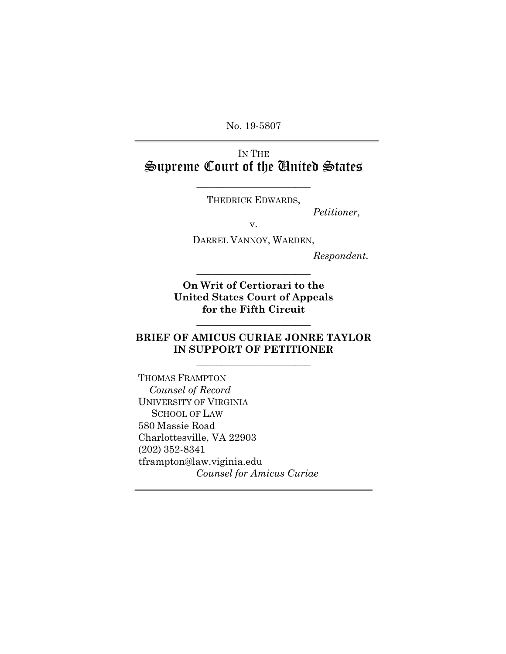No. 19-5807

### IN THE Supreme Court of the United States

THEDRICK EDWARDS,

\_\_\_\_\_\_\_\_\_\_\_\_\_\_\_\_\_\_\_\_\_\_\_

*Petitioner,*

v.

DARREL VANNOY, WARDEN,

*Respondent.*

**On Writ of Certiorari to the United States Court of Appeals for the Fifth Circuit** 

\_\_\_\_\_\_\_\_\_\_\_\_\_\_\_\_\_\_\_\_\_\_\_

### **BRIEF OF AMICUS CURIAE JONRE TAYLOR IN SUPPORT OF PETITIONER**

\_\_\_\_\_\_\_\_\_\_\_\_\_\_\_\_\_\_\_\_\_\_\_

\_\_\_\_\_\_\_\_\_\_\_\_\_\_\_\_\_\_\_\_\_\_\_

THOMAS FRAMPTON  *Counsel of Record* UNIVERSITY OF VIRGINIA SCHOOL OF LAW 580 Massie Road Charlottesville, VA 22903 (202) 352-8341 tframpton@law.viginia.edu *Counsel for Amicus Curiae*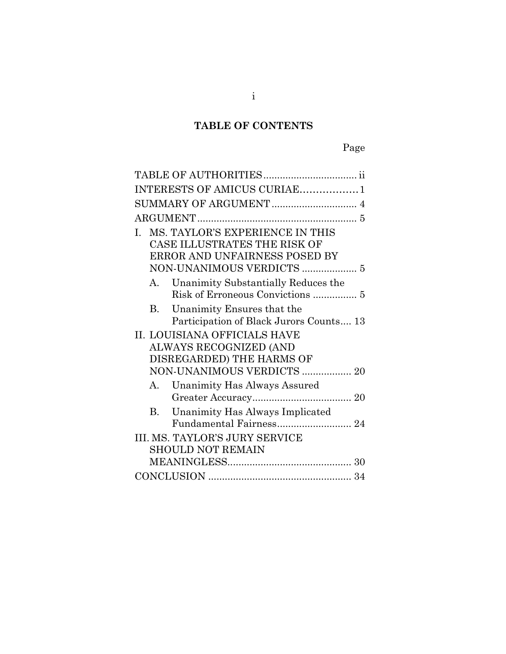### **TABLE OF CONTENTS**

| INTERESTS OF AMICUS CURIAE1                                                                                                         |
|-------------------------------------------------------------------------------------------------------------------------------------|
|                                                                                                                                     |
|                                                                                                                                     |
| MS. TAYLOR'S EXPERIENCE IN THIS<br>L.<br>CASE ILLUSTRATES THE RISK OF<br>ERROR AND UNFAIRNESS POSED BY<br>NON-UNANIMOUS VERDICTS  5 |
| A. Unanimity Substantially Reduces the                                                                                              |
| B. Unanimity Ensures that the<br>Participation of Black Jurors Counts 13                                                            |
| II. LOUISIANA OFFICIALS HAVE<br>ALWAYS RECOGNIZED (AND<br>DISREGARDED) THE HARMS OF<br>NON-UNANIMOUS VERDICTS  20                   |
| Unanimity Has Always Assured<br>A.                                                                                                  |
| B. Unanimity Has Always Implicated<br>Fundamental Fairness 24                                                                       |
| III. MS. TAYLOR'S JURY SERVICE<br><b>SHOULD NOT REMAIN</b>                                                                          |
|                                                                                                                                     |
|                                                                                                                                     |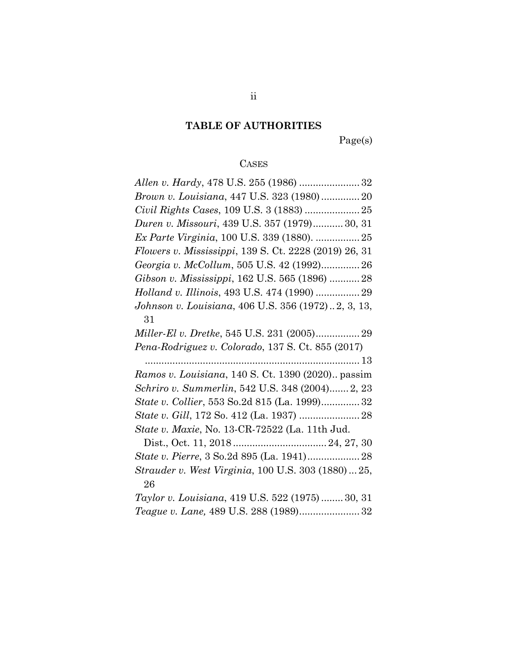### **TABLE OF AUTHORITIES**

Page(s)

### **CASES**

| Brown v. Louisiana, 447 U.S. 323 (1980) 20            |
|-------------------------------------------------------|
| Civil Rights Cases, 109 U.S. 3 (1883)  25             |
| Duren v. Missouri, 439 U.S. 357 (1979) 30, 31         |
| Ex Parte Virginia, 100 U.S. 339 (1880).  25           |
| Flowers v. Mississippi, 139 S. Ct. 2228 (2019) 26, 31 |
| Georgia v. McCollum, 505 U.S. 42 (1992) 26            |
| Gibson v. Mississippi, 162 U.S. 565 (1896)  28        |
| Holland v. Illinois, 493 U.S. 474 (1990)  29          |
| Johnson v. Louisiana, 406 U.S. 356 (1972)2, 3, 13,    |
| 31                                                    |
| Miller-El v. Dretke, 545 U.S. 231 (2005) 29           |
|                                                       |
| Pena-Rodriguez v. Colorado, 137 S. Ct. 855 (2017)     |
|                                                       |
| Ramos v. Louisiana, 140 S. Ct. 1390 (2020) passim     |
| Schriro v. Summerlin, 542 U.S. 348 (2004) 2, 23       |
| State v. Collier, 553 So.2d 815 (La. 1999)32          |
|                                                       |
| State v. Maxie, No. 13-CR-72522 (La. 11th Jud.        |
|                                                       |
| State v. Pierre, 3 So.2d 895 (La. 1941) 28            |
| Strauder v. West Virginia, 100 U.S. 303 (1880)  25,   |
| 26                                                    |
| Taylor v. Louisiana, 419 U.S. 522 (1975) 30, 31       |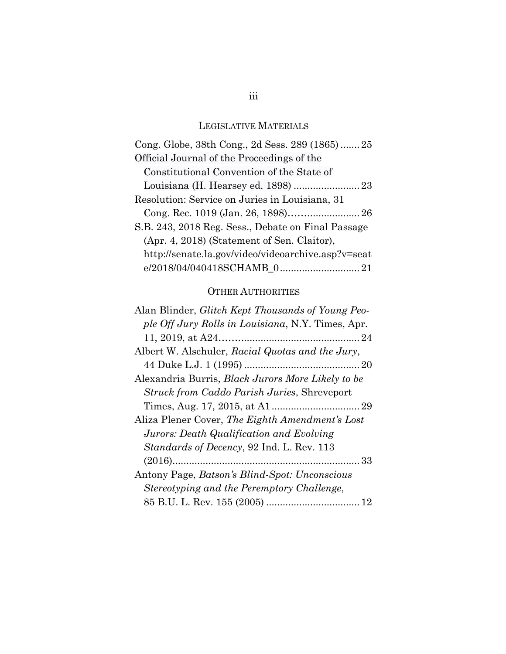### LEGISLATIVE MATERIALS

| Cong. Globe, 38th Cong., 2d Sess. 289 (1865)25     |
|----------------------------------------------------|
| Official Journal of the Proceedings of the         |
| Constitutional Convention of the State of          |
| Louisiana (H. Hearsey ed. 1898)  23                |
| Resolution: Service on Juries in Louisiana, 31     |
|                                                    |
| S.B. 243, 2018 Reg. Sess., Debate on Final Passage |
| (Apr. 4, 2018) (Statement of Sen. Claitor),        |
| http://senate.la.gov/video/videoarchive.asp?v=seat |
|                                                    |

### OTHER AUTHORITIES

| Alan Blinder, <i>Glitch Kept Thousands of Young Peo-</i> |
|----------------------------------------------------------|
| ple Off Jury Rolls in Louisiana, N.Y. Times, Apr.        |
|                                                          |
| Albert W. Alschuler, Racial Quotas and the Jury,         |
|                                                          |
| Alexandria Burris, <i>Black Jurors More Likely to be</i> |
| Struck from Caddo Parish Juries, Shreveport              |
|                                                          |
| Aliza Plener Cover, The Eighth Amendment's Lost          |
| Jurors: Death Qualification and Evolving                 |
| Standards of Decency, 92 Ind. L. Rev. 113                |
|                                                          |
| Antony Page, Batson's Blind-Spot: Unconscious            |
| Stereotyping and the Peremptory Challenge,               |
|                                                          |

### iii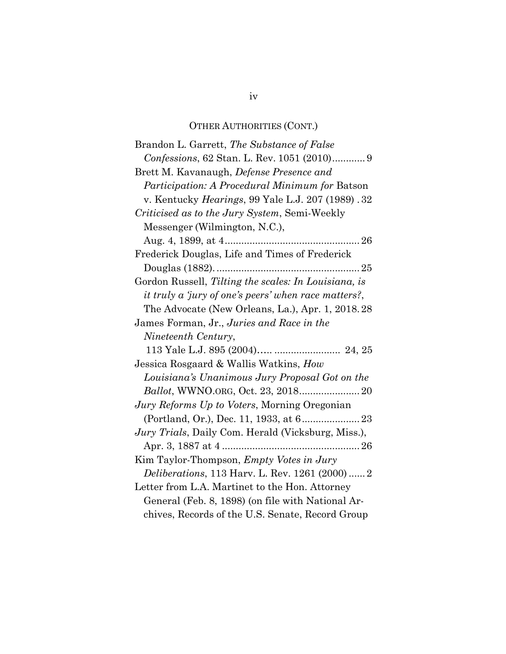### OTHER AUTHORITIES (CONT.)

| Brandon L. Garrett, The Substance of False                 |
|------------------------------------------------------------|
|                                                            |
| Brett M. Kavanaugh, Defense Presence and                   |
| <i>Participation: A Procedural Minimum for Batson</i>      |
| v. Kentucky <i>Hearings</i> , 99 Yale L.J. 207 (1989). 32  |
| <i>Criticised as to the Jury System, Semi-Weekly</i>       |
| Messenger (Wilmington, N.C.),                              |
|                                                            |
| Frederick Douglas, Life and Times of Frederick             |
|                                                            |
| Gordon Russell, Tilting the scales: In Louisiana, is       |
| it truly a 'jury of one's peers' when race matters?,       |
| The Advocate (New Orleans, La.), Apr. 1, 2018.28           |
| James Forman, Jr., Juries and Race in the                  |
| Nineteenth Century,                                        |
| 113 Yale L.J. 895 (2004)  24, 25                           |
| Jessica Rosgaard & Wallis Watkins, How                     |
| Louisiana's Unanimous Jury Proposal Got on the             |
|                                                            |
| <i>Jury Reforms Up to Voters, Morning Oregonian</i>        |
|                                                            |
| <i>Jury Trials</i> , Daily Com. Herald (Vicksburg, Miss.), |
|                                                            |
| Kim Taylor-Thompson, <i>Empty Votes in Jury</i>            |
| <i>Deliberations</i> , 113 Harv. L. Rev. 1261 (2000)  2    |
| Letter from L.A. Martinet to the Hon. Attorney             |
| General (Feb. 8, 1898) (on file with National Ar-          |
| chives, Records of the U.S. Senate, Record Group           |
|                                                            |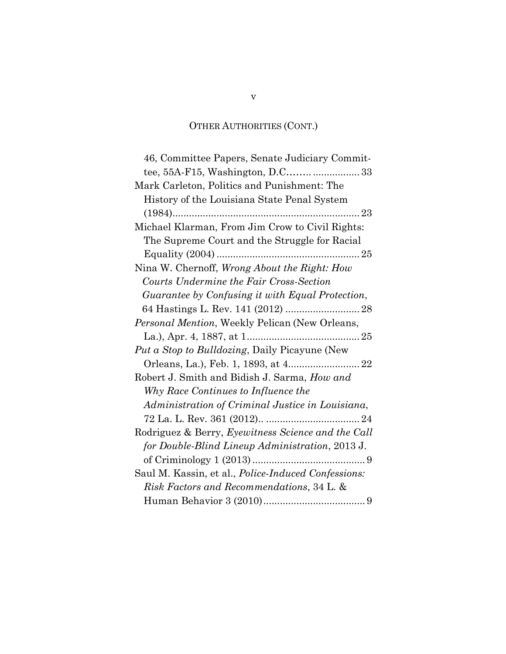### OTHER AUTHORITIES (CONT.)

| 46, Committee Papers, Senate Judiciary Commit-      |
|-----------------------------------------------------|
| tee, 55A-F15, Washington, D.C33                     |
| Mark Carleton, Politics and Punishment: The         |
| History of the Louisiana State Penal System         |
|                                                     |
| Michael Klarman, From Jim Crow to Civil Rights:     |
| The Supreme Court and the Struggle for Racial       |
|                                                     |
| Nina W. Chernoff, Wrong About the Right: How        |
| Courts Undermine the Fair Cross-Section             |
| Guarantee by Confusing it with Equal Protection,    |
|                                                     |
| Personal Mention, Weekly Pelican (New Orleans,      |
|                                                     |
| Put a Stop to Bulldozing, Daily Picayune (New       |
|                                                     |
| Robert J. Smith and Bidish J. Sarma, How and        |
| Why Race Continues to Influence the                 |
| Administration of Criminal Justice in Louisiana,    |
|                                                     |
| Rodriguez & Berry, Eyewitness Science and the Call  |
| for Double-Blind Lineup Administration, 2013 J.     |
|                                                     |
| Saul M. Kassin, et al., Police-Induced Confessions: |
| Risk Factors and Recommendations, 34 L. &           |
|                                                     |

v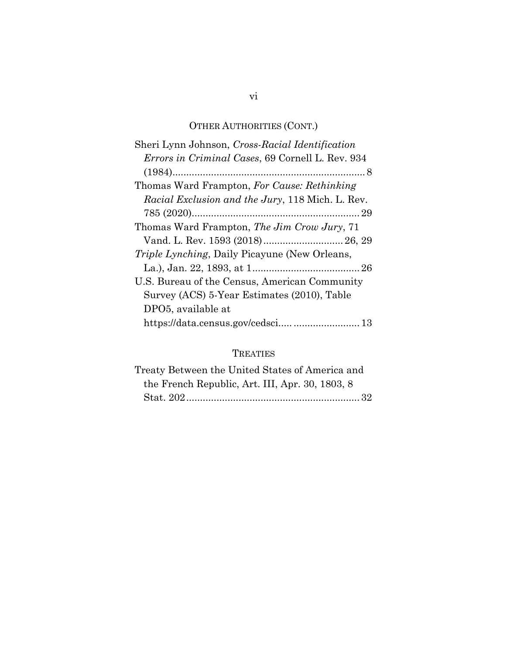### OTHER AUTHORITIES (CONT.)

| Sheri Lynn Johnson, Cross-Racial Identification          |
|----------------------------------------------------------|
| <i>Errors in Criminal Cases, 69 Cornell L. Rev. 934</i>  |
|                                                          |
| Thomas Ward Frampton, For Cause: Rethinking              |
| <i>Racial Exclusion and the Jury</i> , 118 Mich. L. Rev. |
|                                                          |
| Thomas Ward Frampton, The Jim Crow Jury, 71              |
| Vand. L. Rev. 1593 (2018) 26, 29                         |
| <i>Triple Lynching</i> , Daily Picayune (New Orleans,    |
|                                                          |
| U.S. Bureau of the Census, American Community            |
| Survey (ACS) 5-Year Estimates (2010), Table              |
| DPO5, available at                                       |
|                                                          |
|                                                          |

### TREATIES

| Treaty Between the United States of America and |
|-------------------------------------------------|
| the French Republic, Art. III, Apr. 30, 1803, 8 |
|                                                 |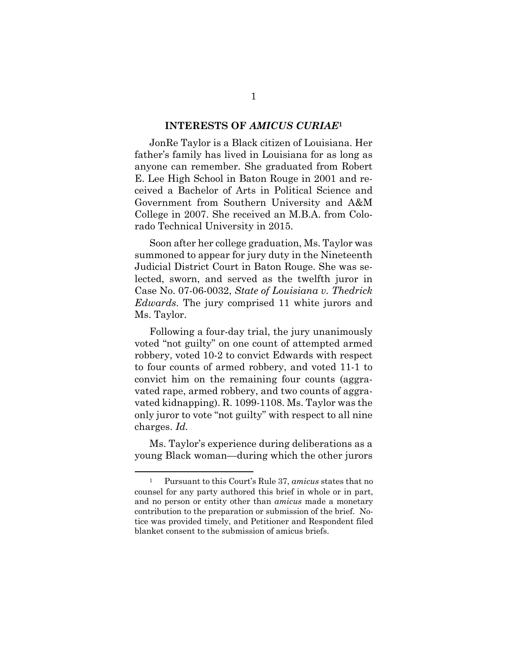### **INTERESTS OF** *AMICUS CURIAE***<sup>1</sup>**

JonRe Taylor is a Black citizen of Louisiana. Her father's family has lived in Louisiana for as long as anyone can remember. She graduated from Robert E. Lee High School in Baton Rouge in 2001 and received a Bachelor of Arts in Political Science and Government from Southern University and A&M College in 2007. She received an M.B.A. from Colorado Technical University in 2015.

Soon after her college graduation, Ms. Taylor was summoned to appear for jury duty in the Nineteenth Judicial District Court in Baton Rouge. She was selected, sworn, and served as the twelfth juror in Case No. 07-06-0032, *State of Louisiana v. Thedrick Edwards*. The jury comprised 11 white jurors and Ms. Taylor.

Following a four-day trial, the jury unanimously voted "not guilty" on one count of attempted armed robbery, voted 10-2 to convict Edwards with respect to four counts of armed robbery, and voted 11-1 to convict him on the remaining four counts (aggravated rape, armed robbery, and two counts of aggravated kidnapping). R. 1099-1108. Ms. Taylor was the only juror to vote "not guilty" with respect to all nine charges. *Id.*

Ms. Taylor's experience during deliberations as a young Black woman—during which the other jurors

<sup>1</sup> Pursuant to this Court's Rule 37, *amicus* states that no counsel for any party authored this brief in whole or in part, and no person or entity other than *amicus* made a monetary contribution to the preparation or submission of the brief. Notice was provided timely, and Petitioner and Respondent filed blanket consent to the submission of amicus briefs.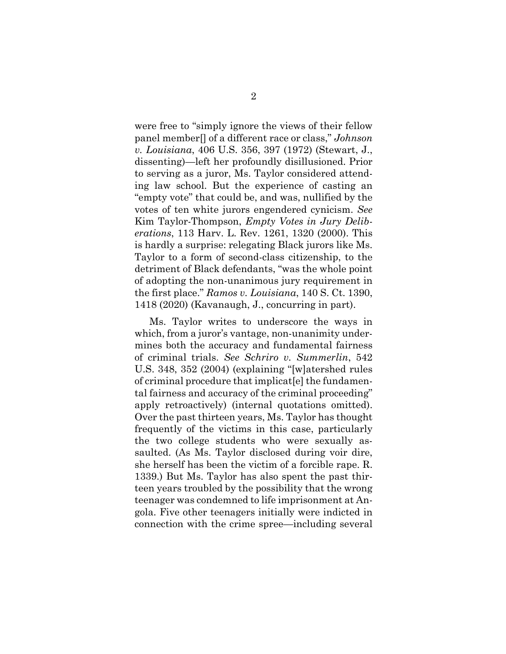were free to "simply ignore the views of their fellow panel member[] of a different race or class," *Johnson v. Louisiana*, 406 U.S. 356, 397 (1972) (Stewart, J., dissenting)—left her profoundly disillusioned. Prior to serving as a juror, Ms. Taylor considered attending law school. But the experience of casting an "empty vote" that could be, and was, nullified by the votes of ten white jurors engendered cynicism. *See*  Kim Taylor-Thompson, *Empty Votes in Jury Deliberations*, 113 Harv. L. Rev. 1261, 1320 (2000). This is hardly a surprise: relegating Black jurors like Ms. Taylor to a form of second-class citizenship, to the detriment of Black defendants, "was the whole point of adopting the non-unanimous jury requirement in the first place." *Ramos v. Louisiana*, 140 S. Ct. 1390, 1418 (2020) (Kavanaugh, J., concurring in part).

Ms. Taylor writes to underscore the ways in which, from a juror's vantage, non-unanimity undermines both the accuracy and fundamental fairness of criminal trials. *See Schriro v. Summerlin*, 542 U.S. 348, 352 (2004) (explaining "[w]atershed rules of criminal procedure that implicat[e] the fundamental fairness and accuracy of the criminal proceeding" apply retroactively) (internal quotations omitted). Over the past thirteen years, Ms. Taylor has thought frequently of the victims in this case, particularly the two college students who were sexually assaulted. (As Ms. Taylor disclosed during voir dire, she herself has been the victim of a forcible rape. R. 1339.) But Ms. Taylor has also spent the past thirteen years troubled by the possibility that the wrong teenager was condemned to life imprisonment at Angola. Five other teenagers initially were indicted in connection with the crime spree—including several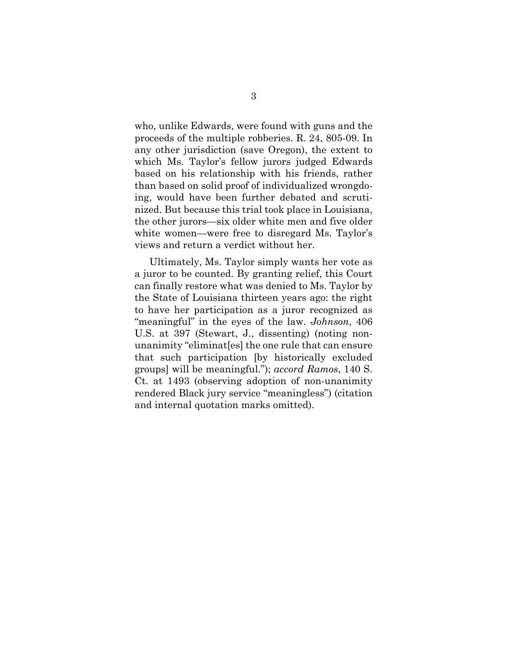who, unlike Edwards, were found with guns and the proceeds of the multiple robberies. R. 24, 805-09. In any other jurisdiction (save Oregon), the extent to which Ms. Taylor's fellow jurors judged Edwards based on his relationship with his friends, rather than based on solid proof of individualized wrongdoing, would have been further debated and scrutinized. But because this trial took place in Louisiana, the other jurors—six older white men and five older white women—were free to disregard Ms. Taylor's views and return a verdict without her.

Ultimately, Ms. Taylor simply wants her vote as a juror to be counted. By granting relief, this Court can finally restore what was denied to Ms. Taylor by the State of Louisiana thirteen years ago: the right to have her participation as a juror recognized as "meaningful" in the eyes of the law. *Johnson*, 406 U.S. at 397 (Stewart, J., dissenting) (noting nonunanimity "eliminat[es] the one rule that can ensure that such participation [by historically excluded groups] will be meaningful."); *accord Ramos*, 140 S. Ct. at 1493 (observing adoption of non-unanimity rendered Black jury service "meaningless") (citation and internal quotation marks omitted).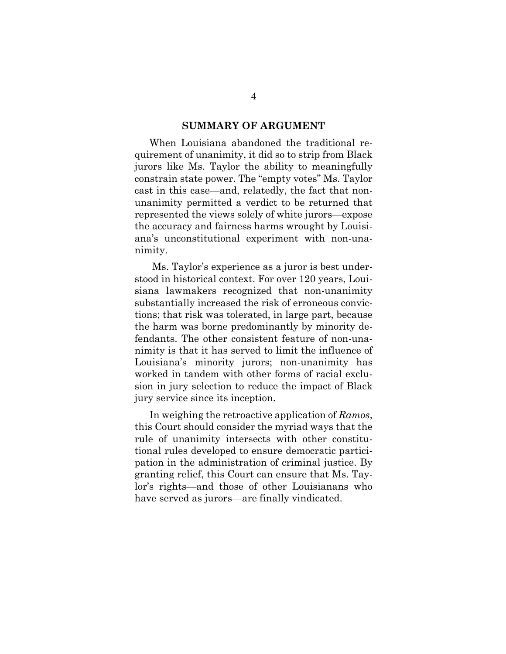### **SUMMARY OF ARGUMENT**

When Louisiana abandoned the traditional requirement of unanimity, it did so to strip from Black jurors like Ms. Taylor the ability to meaningfully constrain state power. The "empty votes" Ms. Taylor cast in this case—and, relatedly, the fact that nonunanimity permitted a verdict to be returned that represented the views solely of white jurors—expose the accuracy and fairness harms wrought by Louisiana's unconstitutional experiment with non-unanimity.

Ms. Taylor's experience as a juror is best understood in historical context. For over 120 years, Louisiana lawmakers recognized that non-unanimity substantially increased the risk of erroneous convictions; that risk was tolerated, in large part, because the harm was borne predominantly by minority defendants. The other consistent feature of non-unanimity is that it has served to limit the influence of Louisiana's minority jurors; non-unanimity has worked in tandem with other forms of racial exclusion in jury selection to reduce the impact of Black jury service since its inception.

In weighing the retroactive application of *Ramos*, this Court should consider the myriad ways that the rule of unanimity intersects with other constitutional rules developed to ensure democratic participation in the administration of criminal justice. By granting relief, this Court can ensure that Ms. Taylor's rights—and those of other Louisianans who have served as jurors—are finally vindicated.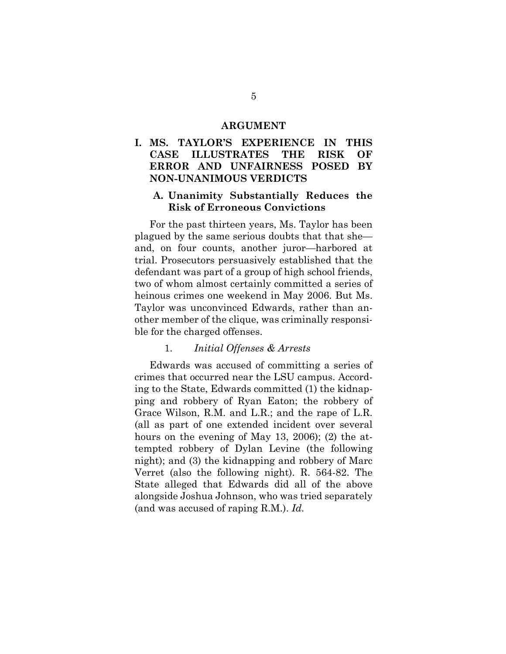### **ARGUMENT**

### **I. MS. TAYLOR'S EXPERIENCE IN THIS CASE ILLUSTRATES THE RISK OF ERROR AND UNFAIRNESS POSED BY NON-UNANIMOUS VERDICTS**

### **A. Unanimity Substantially Reduces the Risk of Erroneous Convictions**

For the past thirteen years, Ms. Taylor has been plagued by the same serious doubts that that she and, on four counts, another juror—harbored at trial. Prosecutors persuasively established that the defendant was part of a group of high school friends, two of whom almost certainly committed a series of heinous crimes one weekend in May 2006. But Ms. Taylor was unconvinced Edwards, rather than another member of the clique, was criminally responsible for the charged offenses.

### 1. *Initial Offenses & Arrests*

Edwards was accused of committing a series of crimes that occurred near the LSU campus. According to the State, Edwards committed (1) the kidnapping and robbery of Ryan Eaton; the robbery of Grace Wilson, R.M. and L.R.; and the rape of L.R. (all as part of one extended incident over several hours on the evening of May 13, 2006); (2) the attempted robbery of Dylan Levine (the following night); and (3) the kidnapping and robbery of Marc Verret (also the following night). R. 564-82. The State alleged that Edwards did all of the above alongside Joshua Johnson, who was tried separately (and was accused of raping R.M.). *Id.*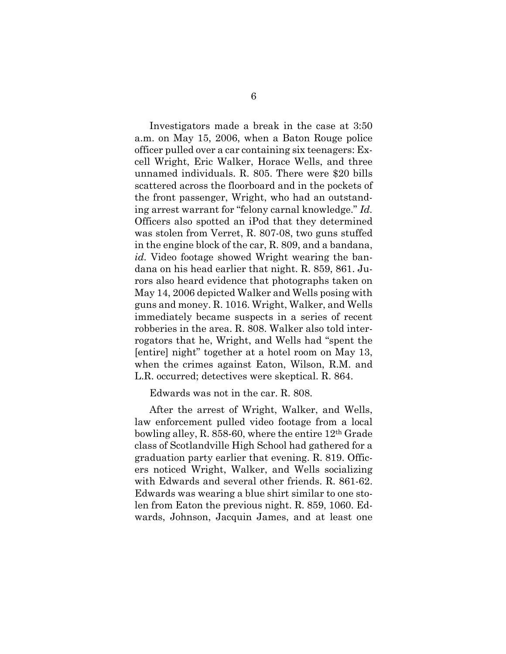Investigators made a break in the case at 3:50 a.m. on May 15, 2006, when a Baton Rouge police officer pulled over a car containing six teenagers: Excell Wright, Eric Walker, Horace Wells, and three unnamed individuals. R. 805. There were \$20 bills scattered across the floorboard and in the pockets of the front passenger, Wright, who had an outstanding arrest warrant for "felony carnal knowledge." *Id.*  Officers also spotted an iPod that they determined was stolen from Verret, R. 807-08, two guns stuffed in the engine block of the car, R. 809, and a bandana, *id.* Video footage showed Wright wearing the bandana on his head earlier that night. R. 859, 861. Jurors also heard evidence that photographs taken on May 14, 2006 depicted Walker and Wells posing with guns and money. R. 1016. Wright, Walker, and Wells immediately became suspects in a series of recent robberies in the area. R. 808. Walker also told interrogators that he, Wright, and Wells had "spent the [entire] night" together at a hotel room on May 13, when the crimes against Eaton, Wilson, R.M. and L.R. occurred; detectives were skeptical. R. 864.

Edwards was not in the car. R. 808.

After the arrest of Wright, Walker, and Wells, law enforcement pulled video footage from a local bowling alley, R. 858-60, where the entire 12th Grade class of Scotlandville High School had gathered for a graduation party earlier that evening. R. 819. Officers noticed Wright, Walker, and Wells socializing with Edwards and several other friends. R. 861-62. Edwards was wearing a blue shirt similar to one stolen from Eaton the previous night. R. 859, 1060. Edwards, Johnson, Jacquin James, and at least one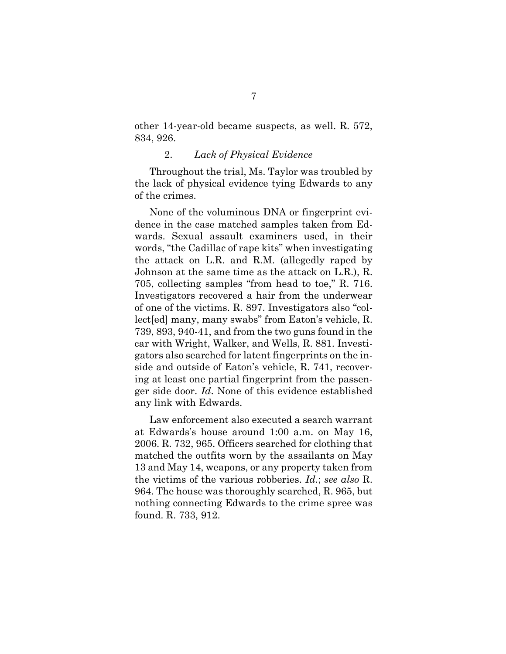other 14-year-old became suspects, as well. R. 572, 834, 926.

### 2. *Lack of Physical Evidence*

Throughout the trial, Ms. Taylor was troubled by the lack of physical evidence tying Edwards to any of the crimes.

None of the voluminous DNA or fingerprint evidence in the case matched samples taken from Edwards. Sexual assault examiners used, in their words, "the Cadillac of rape kits" when investigating the attack on L.R. and R.M. (allegedly raped by Johnson at the same time as the attack on L.R.), R. 705, collecting samples "from head to toe," R. 716. Investigators recovered a hair from the underwear of one of the victims. R. 897. Investigators also "collect[ed] many, many swabs" from Eaton's vehicle, R. 739, 893, 940-41, and from the two guns found in the car with Wright, Walker, and Wells, R. 881. Investigators also searched for latent fingerprints on the inside and outside of Eaton's vehicle, R. 741, recovering at least one partial fingerprint from the passenger side door. *Id*. None of this evidence established any link with Edwards.

Law enforcement also executed a search warrant at Edwards's house around 1:00 a.m. on May 16, 2006. R. 732, 965. Officers searched for clothing that matched the outfits worn by the assailants on May 13 and May 14, weapons, or any property taken from the victims of the various robberies. *Id.*; *see also* R. 964. The house was thoroughly searched, R. 965, but nothing connecting Edwards to the crime spree was found. R. 733, 912.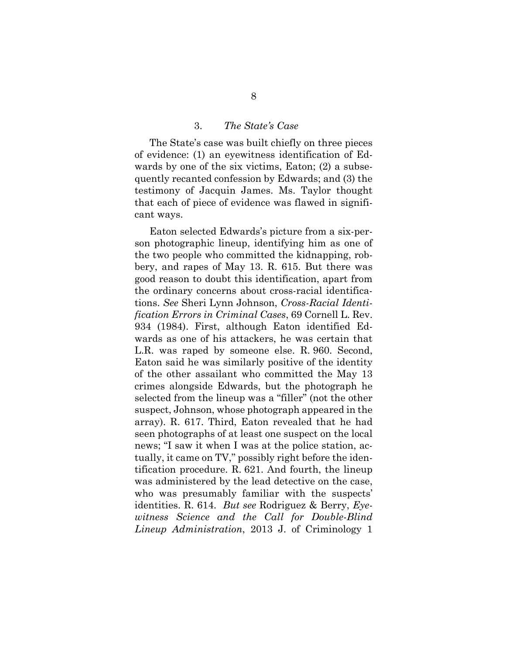### 3. *The State's Case*

The State's case was built chiefly on three pieces of evidence: (1) an eyewitness identification of Edwards by one of the six victims, Eaton; (2) a subsequently recanted confession by Edwards; and (3) the testimony of Jacquin James. Ms. Taylor thought that each of piece of evidence was flawed in significant ways.

Eaton selected Edwards's picture from a six-person photographic lineup, identifying him as one of the two people who committed the kidnapping, robbery, and rapes of May 13. R. 615. But there was good reason to doubt this identification, apart from the ordinary concerns about cross-racial identifications. *See* Sheri Lynn Johnson, *Cross-Racial Identification Errors in Criminal Cases*, 69 Cornell L. Rev. 934 (1984). First, although Eaton identified Edwards as one of his attackers, he was certain that L.R. was raped by someone else. R. 960. Second, Eaton said he was similarly positive of the identity of the other assailant who committed the May 13 crimes alongside Edwards, but the photograph he selected from the lineup was a "filler" (not the other suspect, Johnson, whose photograph appeared in the array). R. 617. Third, Eaton revealed that he had seen photographs of at least one suspect on the local news; "I saw it when I was at the police station, actually, it came on TV," possibly right before the identification procedure. R. 621. And fourth, the lineup was administered by the lead detective on the case, who was presumably familiar with the suspects' identities. R. 614. *But see* Rodriguez & Berry, *Eyewitness Science and the Call for Double-Blind Lineup Administration*, 2013 J. of Criminology 1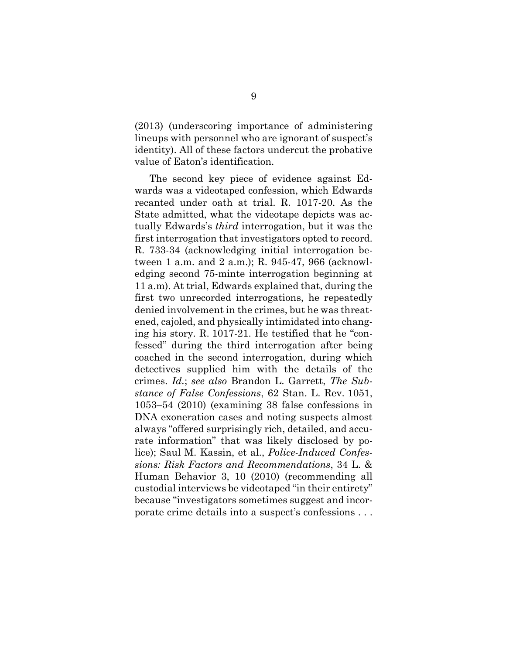(2013) (underscoring importance of administering lineups with personnel who are ignorant of suspect's identity). All of these factors undercut the probative value of Eaton's identification.

The second key piece of evidence against Edwards was a videotaped confession, which Edwards recanted under oath at trial. R. 1017-20. As the State admitted, what the videotape depicts was actually Edwards's *third* interrogation, but it was the first interrogation that investigators opted to record. R. 733-34 (acknowledging initial interrogation between 1 a.m. and 2 a.m.); R. 945-47, 966 (acknowledging second 75-minte interrogation beginning at 11 a.m). At trial, Edwards explained that, during the first two unrecorded interrogations, he repeatedly denied involvement in the crimes, but he was threatened, cajoled, and physically intimidated into changing his story. R. 1017-21. He testified that he "confessed" during the third interrogation after being coached in the second interrogation, during which detectives supplied him with the details of the crimes. *Id.*; *see also* Brandon L. Garrett, *The Substance of False Confessions*, 62 Stan. L. Rev. 1051, 1053–54 (2010) (examining 38 false confessions in DNA exoneration cases and noting suspects almost always "offered surprisingly rich, detailed, and accurate information" that was likely disclosed by police); Saul M. Kassin, et al., *Police-Induced Confessions: Risk Factors and Recommendations*, 34 L. & Human Behavior 3, 10 (2010) (recommending all custodial interviews be videotaped "in their entirety" because "investigators sometimes suggest and incorporate crime details into a suspect's confessions . . .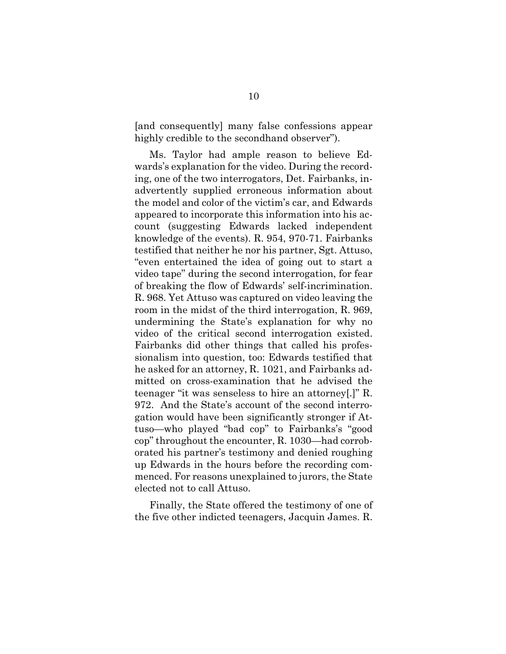[and consequently] many false confessions appear highly credible to the secondhand observer").

Ms. Taylor had ample reason to believe Edwards's explanation for the video. During the recording, one of the two interrogators, Det. Fairbanks, inadvertently supplied erroneous information about the model and color of the victim's car, and Edwards appeared to incorporate this information into his account (suggesting Edwards lacked independent knowledge of the events). R. 954, 970-71. Fairbanks testified that neither he nor his partner, Sgt. Attuso, "even entertained the idea of going out to start a video tape" during the second interrogation, for fear of breaking the flow of Edwards' self-incrimination. R. 968. Yet Attuso was captured on video leaving the room in the midst of the third interrogation, R. 969, undermining the State's explanation for why no video of the critical second interrogation existed. Fairbanks did other things that called his professionalism into question, too: Edwards testified that he asked for an attorney, R. 1021, and Fairbanks admitted on cross-examination that he advised the teenager "it was senseless to hire an attorney[.]" R. 972. And the State's account of the second interrogation would have been significantly stronger if Attuso—who played "bad cop" to Fairbanks's "good cop" throughout the encounter, R. 1030—had corroborated his partner's testimony and denied roughing up Edwards in the hours before the recording commenced. For reasons unexplained to jurors, the State elected not to call Attuso.

Finally, the State offered the testimony of one of the five other indicted teenagers, Jacquin James. R.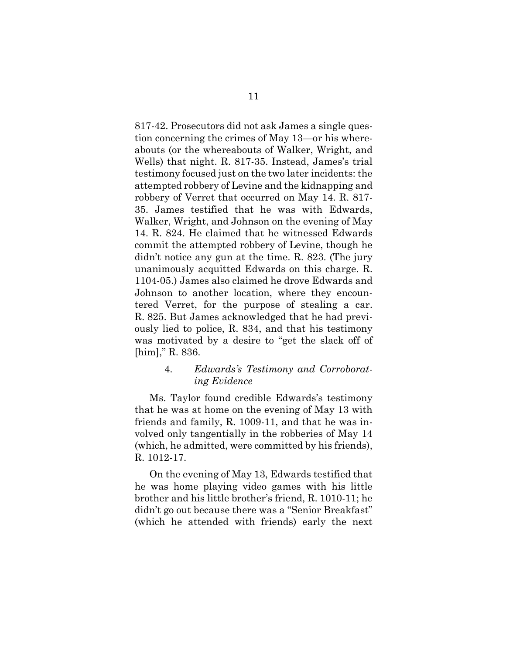817-42. Prosecutors did not ask James a single question concerning the crimes of May 13—or his whereabouts (or the whereabouts of Walker, Wright, and Wells) that night. R. 817-35. Instead, James's trial testimony focused just on the two later incidents: the attempted robbery of Levine and the kidnapping and robbery of Verret that occurred on May 14. R. 817- 35. James testified that he was with Edwards, Walker, Wright, and Johnson on the evening of May 14. R. 824. He claimed that he witnessed Edwards commit the attempted robbery of Levine, though he didn't notice any gun at the time. R. 823. (The jury unanimously acquitted Edwards on this charge. R. 1104-05.) James also claimed he drove Edwards and Johnson to another location, where they encountered Verret, for the purpose of stealing a car. R. 825. But James acknowledged that he had previously lied to police, R. 834, and that his testimony was motivated by a desire to "get the slack off of [him]," R. 836.

### 4. *Edwards's Testimony and Corroborating Evidence*

Ms. Taylor found credible Edwards's testimony that he was at home on the evening of May 13 with friends and family, R. 1009-11, and that he was involved only tangentially in the robberies of May 14 (which, he admitted, were committed by his friends), R. 1012-17.

On the evening of May 13, Edwards testified that he was home playing video games with his little brother and his little brother's friend, R. 1010-11; he didn't go out because there was a "Senior Breakfast" (which he attended with friends) early the next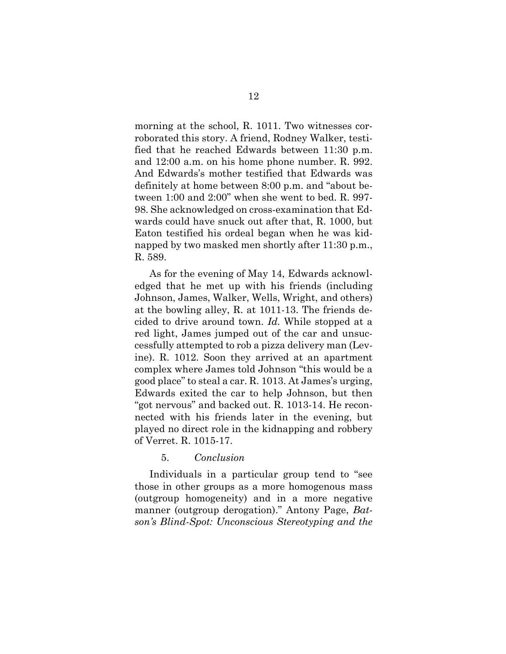morning at the school, R. 1011. Two witnesses corroborated this story. A friend, Rodney Walker, testified that he reached Edwards between 11:30 p.m. and 12:00 a.m. on his home phone number. R. 992. And Edwards's mother testified that Edwards was definitely at home between 8:00 p.m. and "about between 1:00 and 2:00" when she went to bed. R. 997- 98. She acknowledged on cross-examination that Edwards could have snuck out after that, R. 1000, but Eaton testified his ordeal began when he was kidnapped by two masked men shortly after 11:30 p.m., R. 589.

As for the evening of May 14, Edwards acknowledged that he met up with his friends (including Johnson, James, Walker, Wells, Wright, and others) at the bowling alley, R. at 1011-13. The friends decided to drive around town. *Id.* While stopped at a red light, James jumped out of the car and unsuccessfully attempted to rob a pizza delivery man (Levine). R. 1012. Soon they arrived at an apartment complex where James told Johnson "this would be a good place" to steal a car. R. 1013. At James's urging, Edwards exited the car to help Johnson, but then "got nervous" and backed out. R. 1013-14. He reconnected with his friends later in the evening, but played no direct role in the kidnapping and robbery of Verret. R. 1015-17.

### 5. *Conclusion*

Individuals in a particular group tend to "see those in other groups as a more homogenous mass (outgroup homogeneity) and in a more negative manner (outgroup derogation)." Antony Page, *Batson's Blind-Spot: Unconscious Stereotyping and the*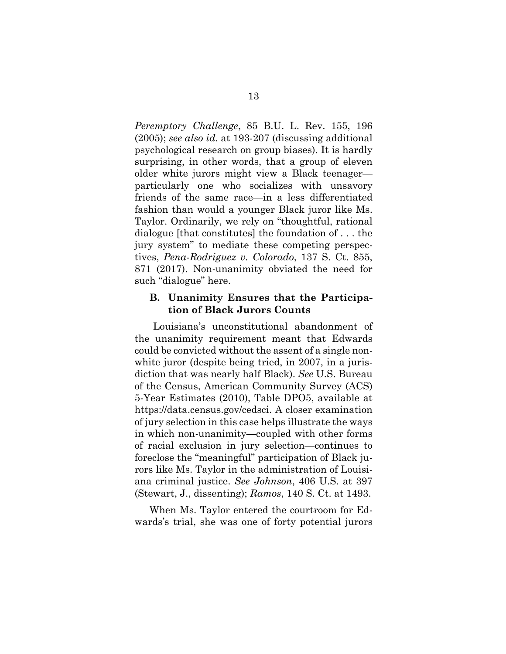*Peremptory Challenge*, 85 B.U. L. Rev. 155, 196 (2005); *see also id.* at 193-207 (discussing additional psychological research on group biases). It is hardly surprising, in other words, that a group of eleven older white jurors might view a Black teenager particularly one who socializes with unsavory friends of the same race—in a less differentiated fashion than would a younger Black juror like Ms. Taylor. Ordinarily, we rely on "thoughtful, rational dialogue [that constitutes] the foundation of . . . the jury system" to mediate these competing perspectives, *Pena-Rodriguez v. Colorado*, 137 S. Ct. 855, 871 (2017). Non-unanimity obviated the need for such "dialogue" here.

### **B. Unanimity Ensures that the Participation of Black Jurors Counts**

Louisiana's unconstitutional abandonment of the unanimity requirement meant that Edwards could be convicted without the assent of a single nonwhite juror (despite being tried, in 2007, in a jurisdiction that was nearly half Black). *See* U.S. Bureau of the Census, American Community Survey (ACS) 5-Year Estimates (2010), Table DPO5, available at https://data.census.gov/cedsci. A closer examination of jury selection in this case helps illustrate the ways in which non-unanimity—coupled with other forms of racial exclusion in jury selection—continues to foreclose the "meaningful" participation of Black jurors like Ms. Taylor in the administration of Louisiana criminal justice. *See Johnson*, 406 U.S. at 397 (Stewart, J., dissenting); *Ramos*, 140 S. Ct. at 1493.

When Ms. Taylor entered the courtroom for Edwards's trial, she was one of forty potential jurors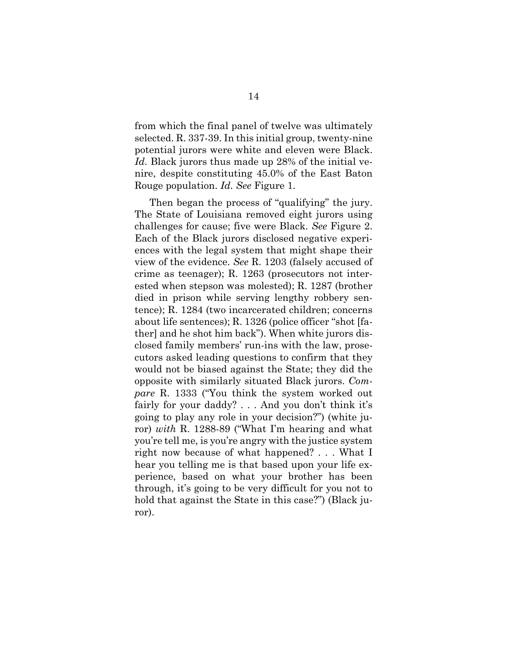from which the final panel of twelve was ultimately selected. R. 337-39. In this initial group, twenty-nine potential jurors were white and eleven were Black. *Id.* Black jurors thus made up 28% of the initial venire, despite constituting 45.0% of the East Baton Rouge population. *Id. See* Figure 1.

Then began the process of "qualifying" the jury. The State of Louisiana removed eight jurors using challenges for cause; five were Black. *See* Figure 2. Each of the Black jurors disclosed negative experiences with the legal system that might shape their view of the evidence. *See* R. 1203 (falsely accused of crime as teenager); R. 1263 (prosecutors not interested when stepson was molested); R. 1287 (brother died in prison while serving lengthy robbery sentence); R. 1284 (two incarcerated children; concerns about life sentences); R. 1326 (police officer "shot [father] and he shot him back"). When white jurors disclosed family members' run-ins with the law, prosecutors asked leading questions to confirm that they would not be biased against the State; they did the opposite with similarly situated Black jurors. *Compare* R. 1333 ("You think the system worked out fairly for your daddy? . . . And you don't think it's going to play any role in your decision?") (white juror) *with* R. 1288-89 ("What I'm hearing and what you're tell me, is you're angry with the justice system right now because of what happened? . . . What I hear you telling me is that based upon your life experience, based on what your brother has been through, it's going to be very difficult for you not to hold that against the State in this case?") (Black juror).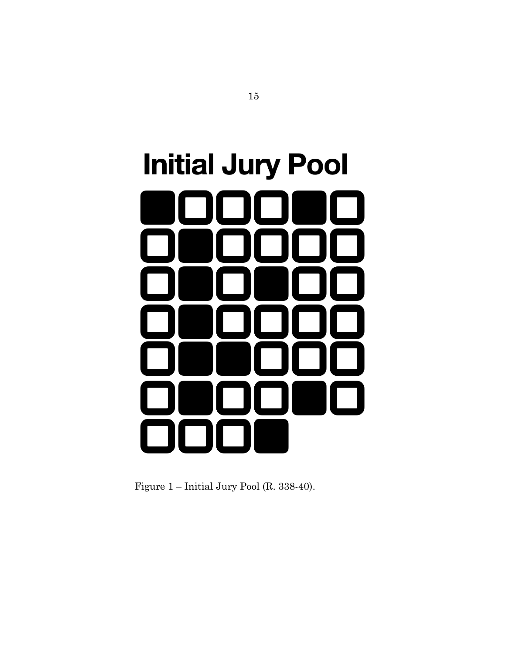# **Initial Jury Pool**

Figure 1 – Initial Jury Pool (R. 338-40).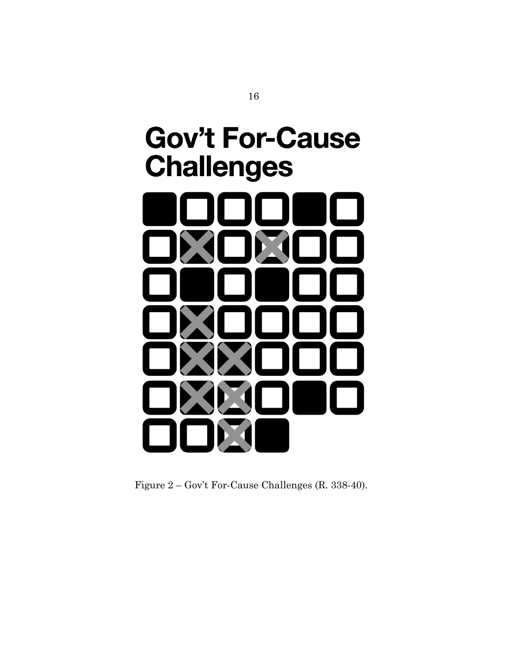## **Gov't For-Cause Challenges**

Figure 2 – Gov't For-Cause Challenges (R. 338-40).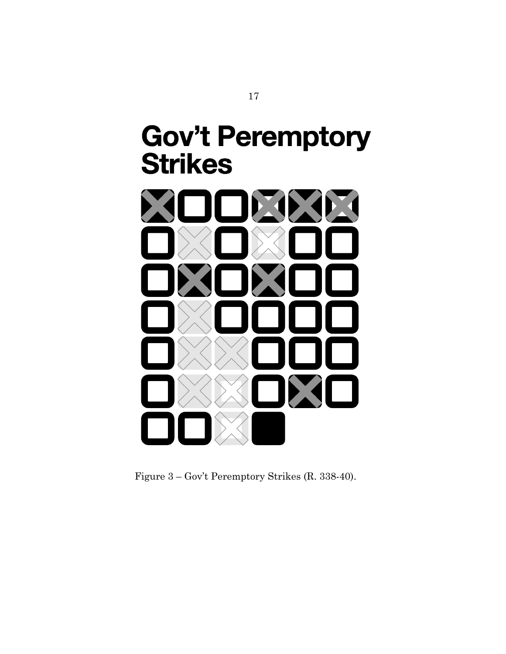## **Gov't Peremptory Strikes**



Figure 3 – Gov't Peremptory Strikes (R. 338-40).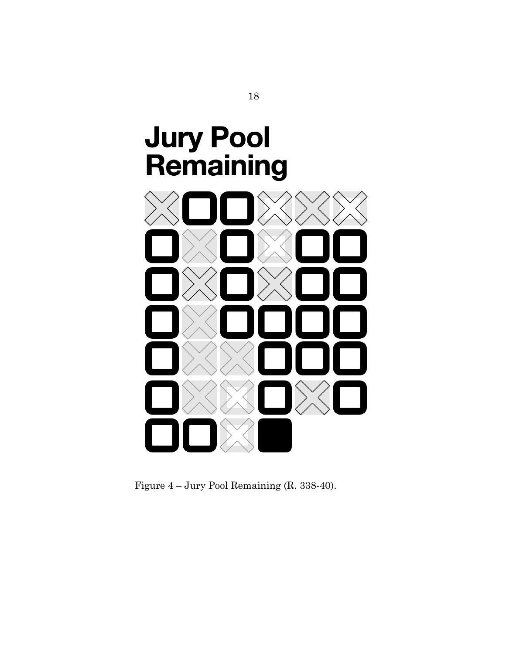

Figure 4 – Jury Pool Remaining (R. 338-40).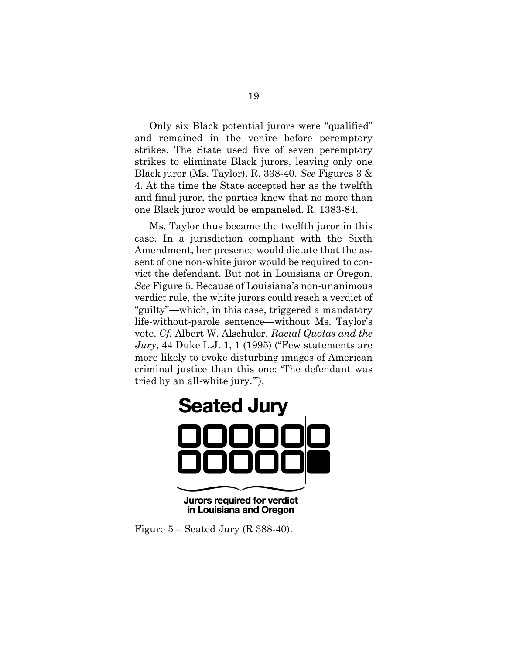Only six Black potential jurors were "qualified" and remained in the venire before peremptory strikes. The State used five of seven peremptory strikes to eliminate Black jurors, leaving only one Black juror (Ms. Taylor). R. 338-40. *See* Figures 3 & 4. At the time the State accepted her as the twelfth and final juror, the parties knew that no more than one Black juror would be empaneled. R. 1383-84.

Ms. Taylor thus became the twelfth juror in this case. In a jurisdiction compliant with the Sixth Amendment, her presence would dictate that the assent of one non-white juror would be required to convict the defendant. But not in Louisiana or Oregon. *See* Figure 5. Because of Louisiana's non-unanimous verdict rule, the white jurors could reach a verdict of "guilty"—which, in this case, triggered a mandatory life-without-parole sentence—without Ms. Taylor's vote. *Cf.* Albert W. Alschuler, *Racial Quotas and the Jury*, 44 Duke L.J. 1, 1 (1995) ("Few statements are more likely to evoke disturbing images of American criminal justice than this one: 'The defendant was tried by an all-white jury.'").



in Louisiana and Oregon

Figure 5 – Seated Jury (R 388-40).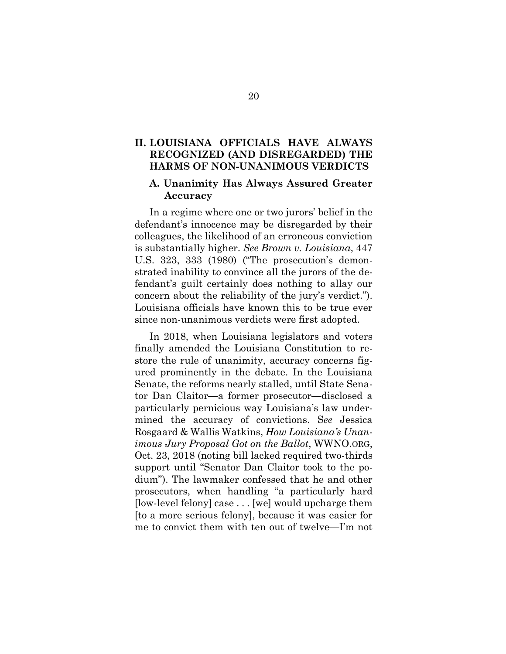### **II. LOUISIANA OFFICIALS HAVE ALWAYS RECOGNIZED (AND DISREGARDED) THE HARMS OF NON-UNANIMOUS VERDICTS**

### **A. Unanimity Has Always Assured Greater Accuracy**

In a regime where one or two jurors' belief in the defendant's innocence may be disregarded by their colleagues, the likelihood of an erroneous conviction is substantially higher. *See Brown v. Louisiana*, 447 U.S. 323, 333 (1980) ("The prosecution's demonstrated inability to convince all the jurors of the defendant's guilt certainly does nothing to allay our concern about the reliability of the jury's verdict."). Louisiana officials have known this to be true ever since non-unanimous verdicts were first adopted.

In 2018, when Louisiana legislators and voters finally amended the Louisiana Constitution to restore the rule of unanimity, accuracy concerns figured prominently in the debate. In the Louisiana Senate, the reforms nearly stalled, until State Senator Dan Claitor—a former prosecutor—disclosed a particularly pernicious way Louisiana's law undermined the accuracy of convictions. S*ee* Jessica Rosgaard & Wallis Watkins, *How Louisiana's Unanimous Jury Proposal Got on the Ballot*, WWNO.ORG, Oct. 23, 2018 (noting bill lacked required two-thirds support until "Senator Dan Claitor took to the podium"). The lawmaker confessed that he and other prosecutors, when handling "a particularly hard [low-level felony] case . . . [we] would upcharge them [to a more serious felony], because it was easier for me to convict them with ten out of twelve—I'm not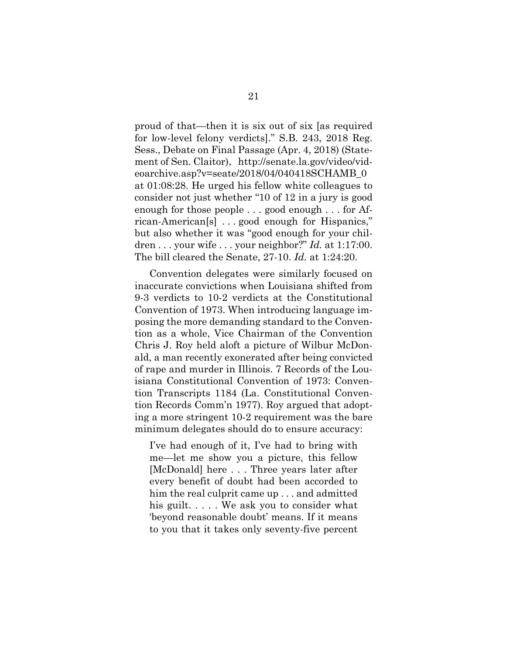proud of that—then it is six out of six [as required for low-level felony verdicts]." S.B. 243, 2018 Reg. Sess., Debate on Final Passage (Apr. 4, 2018) (Statement of Sen. Claitor), http://senate.la.gov/video/videoarchive.asp?v=seate/2018/04/040418SCHAMB\_0 at 01:08:28. He urged his fellow white colleagues to consider not just whether "10 of 12 in a jury is good enough for those people . . . good enough . . . for African-American[s] . . . good enough for Hispanics," but also whether it was "good enough for your children . . . your wife . . . your neighbor?" *Id.* at 1:17:00. The bill cleared the Senate, 27-10. *Id.* at 1:24:20.

Convention delegates were similarly focused on inaccurate convictions when Louisiana shifted from 9-3 verdicts to 10-2 verdicts at the Constitutional Convention of 1973. When introducing language imposing the more demanding standard to the Convention as a whole, Vice Chairman of the Convention Chris J. Roy held aloft a picture of Wilbur McDonald, a man recently exonerated after being convicted of rape and murder in Illinois. 7 Records of the Louisiana Constitutional Convention of 1973: Convention Transcripts 1184 (La. Constitutional Convention Records Comm'n 1977). Roy argued that adopting a more stringent 10-2 requirement was the bare minimum delegates should do to ensure accuracy:

I've had enough of it, I've had to bring with me—let me show you a picture, this fellow [McDonald] here . . . Three years later after every benefit of doubt had been accorded to him the real culprit came up . . . and admitted his guilt. . . . . We ask you to consider what 'beyond reasonable doubt' means. If it means to you that it takes only seventy-five percent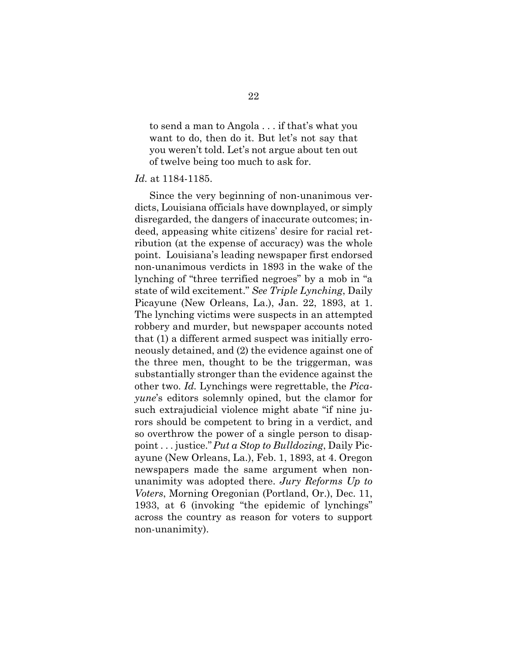to send a man to Angola . . . if that's what you want to do, then do it. But let's not say that you weren't told. Let's not argue about ten out of twelve being too much to ask for.

### *Id.* at 1184-1185.

Since the very beginning of non-unanimous verdicts, Louisiana officials have downplayed, or simply disregarded, the dangers of inaccurate outcomes; indeed, appeasing white citizens' desire for racial retribution (at the expense of accuracy) was the whole point. Louisiana's leading newspaper first endorsed non-unanimous verdicts in 1893 in the wake of the lynching of "three terrified negroes" by a mob in "a state of wild excitement." *See Triple Lynching*, Daily Picayune (New Orleans, La.), Jan. 22, 1893, at 1. The lynching victims were suspects in an attempted robbery and murder, but newspaper accounts noted that (1) a different armed suspect was initially erroneously detained, and (2) the evidence against one of the three men, thought to be the triggerman, was substantially stronger than the evidence against the other two. *Id.* Lynchings were regrettable, the *Picayune*'s editors solemnly opined, but the clamor for such extrajudicial violence might abate "if nine jurors should be competent to bring in a verdict, and so overthrow the power of a single person to disappoint . . . justice."*Put a Stop to Bulldozing*, Daily Picayune (New Orleans, La.), Feb. 1, 1893, at 4. Oregon newspapers made the same argument when nonunanimity was adopted there. *Jury Reforms Up to Voters*, Morning Oregonian (Portland, Or.), Dec. 11, 1933, at 6 (invoking "the epidemic of lynchings" across the country as reason for voters to support non-unanimity).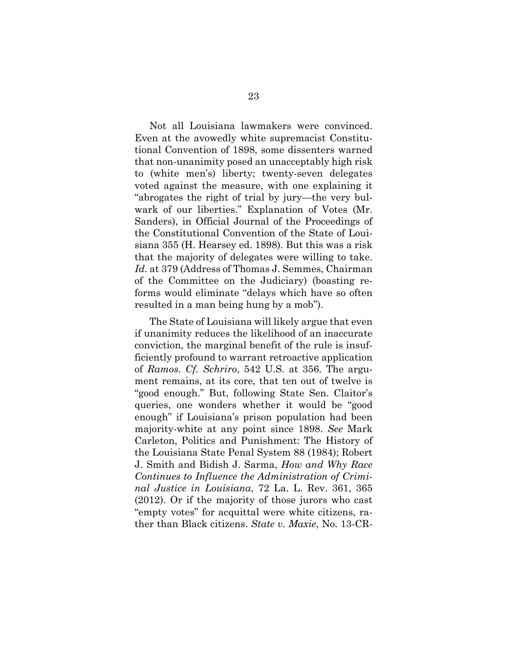Not all Louisiana lawmakers were convinced. Even at the avowedly white supremacist Constitutional Convention of 1898, some dissenters warned that non-unanimity posed an unacceptably high risk to (white men's) liberty; twenty-seven delegates voted against the measure, with one explaining it "abrogates the right of trial by jury—the very bulwark of our liberties." Explanation of Votes (Mr. Sanders), in Official Journal of the Proceedings of the Constitutional Convention of the State of Louisiana 355 (H. Hearsey ed. 1898). But this was a risk that the majority of delegates were willing to take. *Id.* at 379 (Address of Thomas J. Semmes, Chairman of the Committee on the Judiciary) (boasting reforms would eliminate "delays which have so often resulted in a man being hung by a mob").

The State of Louisiana will likely argue that even if unanimity reduces the likelihood of an inaccurate conviction, the marginal benefit of the rule is insufficiently profound to warrant retroactive application of *Ramos*. *Cf. Schriro*, 542 U.S. at 356. The argument remains, at its core, that ten out of twelve is "good enough." But, following State Sen. Claitor's queries, one wonders whether it would be "good enough" if Louisiana's prison population had been majority-white at any point since 1898. *See* Mark Carleton, Politics and Punishment: The History of the Louisiana State Penal System 88 (1984); Robert J. Smith and Bidish J. Sarma, *How and Why Race Continues to Influence the Administration of Criminal Justice in Louisiana*, 72 La. L. Rev. 361, 365 (2012). Or if the majority of those jurors who cast "empty votes" for acquittal were white citizens, rather than Black citizens. *State v. Maxie*, No. 13-CR-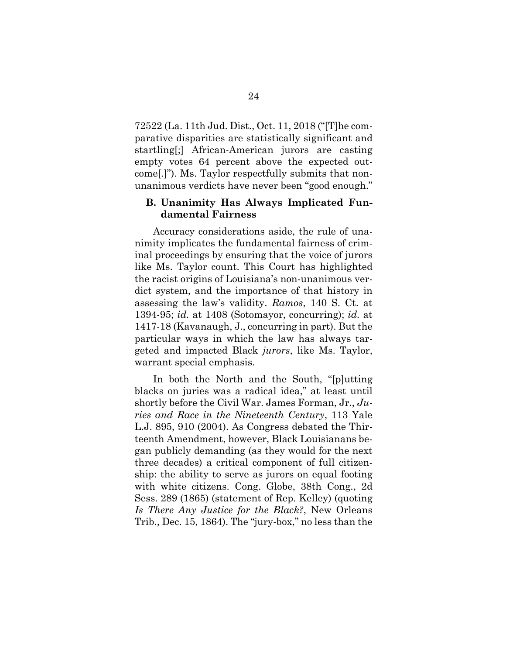72522 (La. 11th Jud. Dist., Oct. 11, 2018 ("[T]he comparative disparities are statistically significant and startling[;] African-American jurors are casting empty votes 64 percent above the expected outcome[.]"). Ms. Taylor respectfully submits that nonunanimous verdicts have never been "good enough."

### **B. Unanimity Has Always Implicated Fundamental Fairness**

Accuracy considerations aside, the rule of unanimity implicates the fundamental fairness of criminal proceedings by ensuring that the voice of jurors like Ms. Taylor count. This Court has highlighted the racist origins of Louisiana's non-unanimous verdict system, and the importance of that history in assessing the law's validity. *Ramos*, 140 S. Ct. at 1394-95; *id.* at 1408 (Sotomayor, concurring); *id.* at 1417-18 (Kavanaugh, J., concurring in part). But the particular ways in which the law has always targeted and impacted Black *jurors*, like Ms. Taylor, warrant special emphasis.

In both the North and the South, "[p]utting blacks on juries was a radical idea," at least until shortly before the Civil War. James Forman, Jr., *Juries and Race in the Nineteenth Century*, 113 Yale L.J. 895, 910 (2004). As Congress debated the Thirteenth Amendment, however, Black Louisianans began publicly demanding (as they would for the next three decades) a critical component of full citizenship: the ability to serve as jurors on equal footing with white citizens. Cong. Globe, 38th Cong., 2d Sess. 289 (1865) (statement of Rep. Kelley) (quoting *Is There Any Justice for the Black?*, New Orleans Trib., Dec. 15, 1864). The "jury-box," no less than the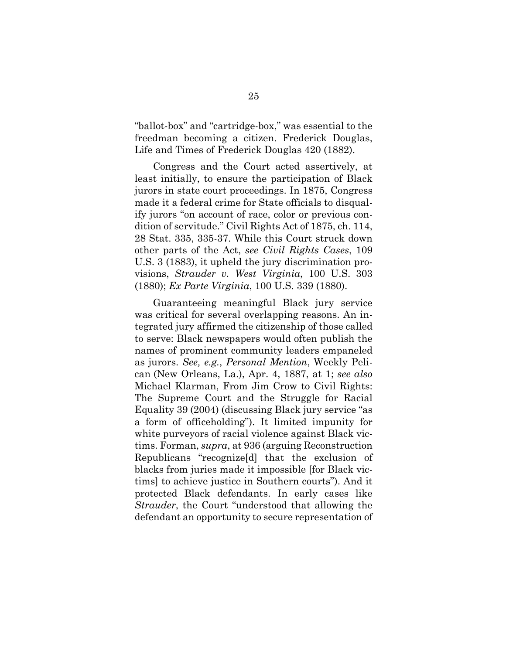"ballot-box" and "cartridge-box," was essential to the freedman becoming a citizen. Frederick Douglas, Life and Times of Frederick Douglas 420 (1882).

Congress and the Court acted assertively, at least initially, to ensure the participation of Black jurors in state court proceedings. In 1875, Congress made it a federal crime for State officials to disqualify jurors "on account of race, color or previous condition of servitude." Civil Rights Act of 1875, ch. 114, 28 Stat. 335, 335-37. While this Court struck down other parts of the Act, *see Civil Rights Cases*, 109 U.S. 3 (1883), it upheld the jury discrimination provisions, *Strauder v. West Virginia*, 100 U.S. 303 (1880); *Ex Parte Virginia*, 100 U.S. 339 (1880).

Guaranteeing meaningful Black jury service was critical for several overlapping reasons. An integrated jury affirmed the citizenship of those called to serve: Black newspapers would often publish the names of prominent community leaders empaneled as jurors. *See, e.g.*, *Personal Mention*, Weekly Pelican (New Orleans, La.), Apr. 4, 1887, at 1; *see also*  Michael Klarman, From Jim Crow to Civil Rights: The Supreme Court and the Struggle for Racial Equality 39 (2004) (discussing Black jury service "as a form of officeholding"). It limited impunity for white purveyors of racial violence against Black victims. Forman, *supra*, at 936 (arguing Reconstruction Republicans "recognize[d] that the exclusion of blacks from juries made it impossible [for Black victims] to achieve justice in Southern courts"). And it protected Black defendants. In early cases like *Strauder*, the Court "understood that allowing the defendant an opportunity to secure representation of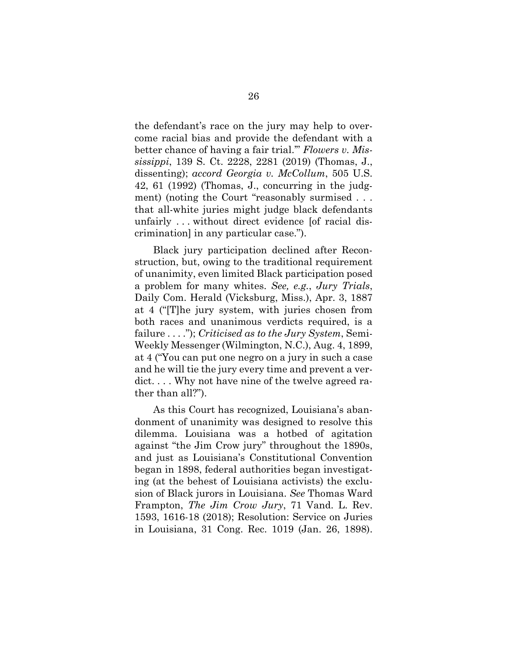the defendant's race on the jury may help to overcome racial bias and provide the defendant with a better chance of having a fair trial.'" *Flowers v. Mississippi*, 139 S. Ct. 2228, 2281 (2019) (Thomas, J., dissenting); *accord Georgia v. McCollum*, 505 U.S. 42, 61 (1992) (Thomas, J., concurring in the judgment) (noting the Court "reasonably surmised . . . that all-white juries might judge black defendants unfairly . . . without direct evidence [of racial discrimination] in any particular case.").

Black jury participation declined after Reconstruction, but, owing to the traditional requirement of unanimity, even limited Black participation posed a problem for many whites. *See, e.g.*, *Jury Trials*, Daily Com. Herald (Vicksburg, Miss.), Apr. 3, 1887 at 4 ("[T]he jury system, with juries chosen from both races and unanimous verdicts required, is a failure . . . ."); *Criticised as to the Jury System*, Semi-Weekly Messenger (Wilmington, N.C.), Aug. 4, 1899, at 4 ("You can put one negro on a jury in such a case and he will tie the jury every time and prevent a verdict. . . . Why not have nine of the twelve agreed rather than all?").

As this Court has recognized, Louisiana's abandonment of unanimity was designed to resolve this dilemma. Louisiana was a hotbed of agitation against "the Jim Crow jury" throughout the 1890s, and just as Louisiana's Constitutional Convention began in 1898, federal authorities began investigating (at the behest of Louisiana activists) the exclusion of Black jurors in Louisiana. *See* Thomas Ward Frampton, *The Jim Crow Jury*, 71 Vand. L. Rev. 1593, 1616-18 (2018); Resolution: Service on Juries in Louisiana, 31 Cong. Rec. 1019 (Jan. 26, 1898).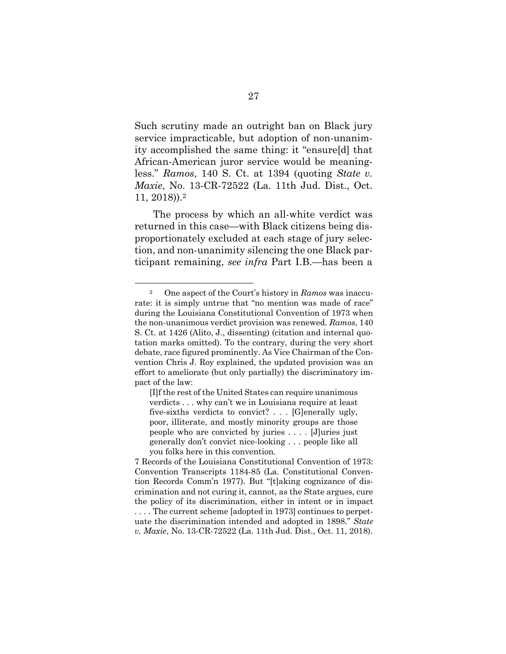Such scrutiny made an outright ban on Black jury service impracticable, but adoption of non-unanimity accomplished the same thing: it "ensure[d] that African-American juror service would be meaningless." *Ramos*, 140 S. Ct. at 1394 (quoting *State v. Maxie*, No. 13-CR-72522 (La. 11th Jud. Dist., Oct. 11, 2018)).2

The process by which an all-white verdict was returned in this case—with Black citizens being disproportionately excluded at each stage of jury selection, and non-unanimity silencing the one Black participant remaining, *see infra* Part I.B.—has been a

<sup>2</sup> One aspect of the Court's history in *Ramos* was inaccurate: it is simply untrue that "no mention was made of race" during the Louisiana Constitutional Convention of 1973 when the non-unanimous verdict provision was renewed. *Ramos*, 140 S. Ct. at 1426 (Alito, J., dissenting) (citation and internal quotation marks omitted). To the contrary, during the very short debate, race figured prominently. As Vice Chairman of the Convention Chris J. Roy explained, the updated provision was an effort to ameliorate (but only partially) the discriminatory impact of the law:

<sup>[</sup>I]f the rest of the United States can require unanimous verdicts . . . why can't we in Louisiana require at least five-sixths verdicts to convict? . . . [G]enerally ugly, poor, illiterate, and mostly minority groups are those people who are convicted by juries . . . . [J]uries just generally don't convict nice-looking . . . people like all you folks here in this convention.

<sup>7</sup> Records of the Louisiana Constitutional Convention of 1973: Convention Transcripts 1184-85 (La. Constitutional Convention Records Comm'n 1977). But "[t]aking cognizance of discrimination and not curing it, cannot, as the State argues, cure the policy of its discrimination, either in intent or in impact . . . . The current scheme [adopted in 1973] continues to perpetuate the discrimination intended and adopted in 1898." *State v. Maxie*, No. 13-CR-72522 (La. 11th Jud. Dist., Oct. 11, 2018).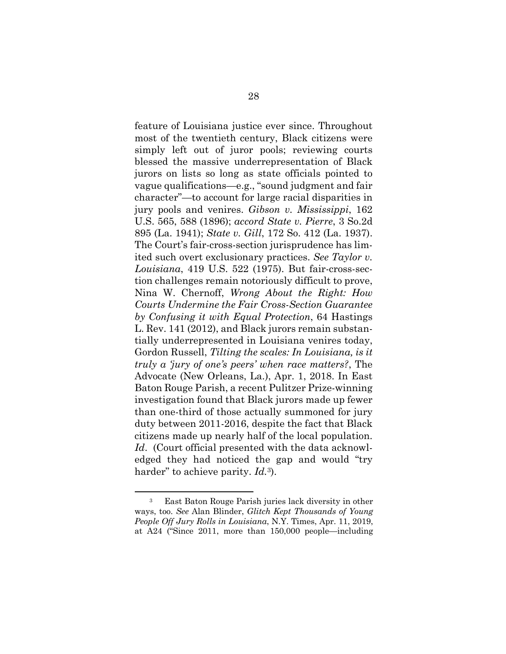feature of Louisiana justice ever since. Throughout most of the twentieth century, Black citizens were simply left out of juror pools; reviewing courts blessed the massive underrepresentation of Black jurors on lists so long as state officials pointed to vague qualifications—e.g., "sound judgment and fair character"—to account for large racial disparities in jury pools and venires. *Gibson v. Mississippi*, 162 U.S. 565, 588 (1896); *accord State v. Pierre*, 3 So.2d 895 (La. 1941); *State v. Gill*, 172 So. 412 (La. 1937). The Court's fair-cross-section jurisprudence has limited such overt exclusionary practices. *See Taylor v. Louisiana*, 419 U.S. 522 (1975). But fair-cross-section challenges remain notoriously difficult to prove, Nina W. Chernoff, *Wrong About the Right: How Courts Undermine the Fair Cross-Section Guarantee by Confusing it with Equal Protection*, 64 Hastings L. Rev. 141 (2012), and Black jurors remain substantially underrepresented in Louisiana venires today, Gordon Russell, *Tilting the scales: In Louisiana, is it truly a 'jury of one's peers' when race matters?*, The Advocate (New Orleans, La.), Apr. 1, 2018. In East Baton Rouge Parish, a recent Pulitzer Prize-winning investigation found that Black jurors made up fewer than one-third of those actually summoned for jury duty between 2011-2016, despite the fact that Black citizens made up nearly half of the local population. *Id*. (Court official presented with the data acknowledged they had noticed the gap and would "try harder" to achieve parity. *Id.*3).

<sup>3</sup> East Baton Rouge Parish juries lack diversity in other ways, too. *See* Alan Blinder, *Glitch Kept Thousands of Young People Off Jury Rolls in Louisiana*, N.Y. Times, Apr. 11, 2019, at A24 ("Since 2011, more than 150,000 people—including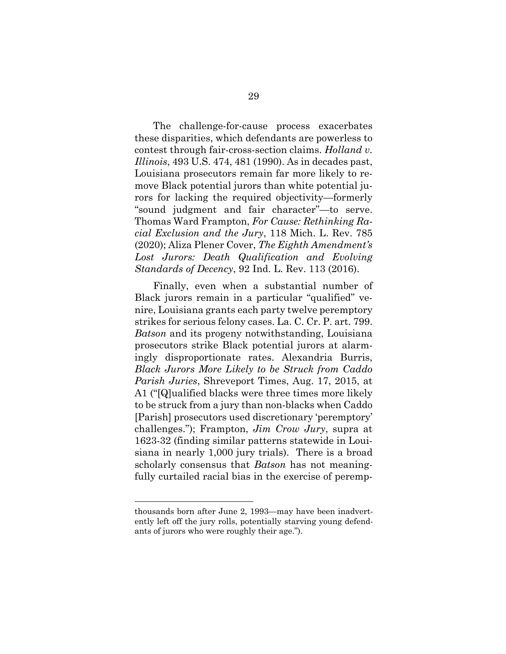The challenge-for-cause process exacerbates these disparities, which defendants are powerless to contest through fair-cross-section claims. *Holland v. Illinois*, 493 U.S. 474, 481 (1990). As in decades past, Louisiana prosecutors remain far more likely to remove Black potential jurors than white potential jurors for lacking the required objectivity—formerly "sound judgment and fair character"—to serve. Thomas Ward Frampton, *For Cause: Rethinking Racial Exclusion and the Jury*, 118 Mich. L. Rev. 785 (2020); Aliza Plener Cover, *The Eighth Amendment's Lost Jurors: Death Qualification and Evolving Standards of Decency*, 92 Ind. L. Rev. 113 (2016).

Finally, even when a substantial number of Black jurors remain in a particular "qualified" venire, Louisiana grants each party twelve peremptory strikes for serious felony cases. La. C. Cr. P. art. 799. *Batson* and its progeny notwithstanding, Louisiana prosecutors strike Black potential jurors at alarmingly disproportionate rates. Alexandria Burris, *Black Jurors More Likely to be Struck from Caddo Parish Juries*, Shreveport Times, Aug. 17, 2015, at A1 ("[Q]ualified blacks were three times more likely to be struck from a jury than non-blacks when Caddo [Parish] prosecutors used discretionary 'peremptory' challenges."); Frampton, *Jim Crow Jury*, supra at 1623-32 (finding similar patterns statewide in Louisiana in nearly 1,000 jury trials). There is a broad scholarly consensus that *Batson* has not meaningfully curtailed racial bias in the exercise of peremp-

thousands born after June 2, 1993—may have been inadvertently left off the jury rolls, potentially starving young defendants of jurors who were roughly their age.").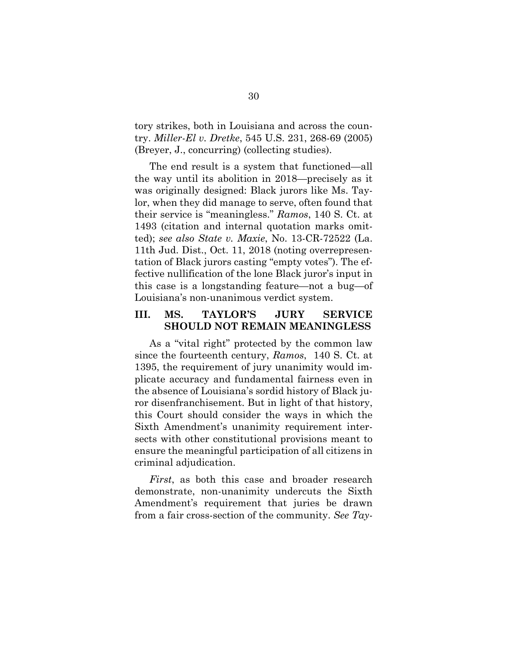tory strikes, both in Louisiana and across the country. *Miller-El v. Dretke*, 545 U.S. 231, 268-69 (2005) (Breyer, J., concurring) (collecting studies).

The end result is a system that functioned—all the way until its abolition in 2018—precisely as it was originally designed: Black jurors like Ms. Taylor, when they did manage to serve, often found that their service is "meaningless." *Ramos*, 140 S. Ct. at 1493 (citation and internal quotation marks omitted); *see also State v. Maxie*, No. 13-CR-72522 (La. 11th Jud. Dist., Oct. 11, 2018 (noting overrepresentation of Black jurors casting "empty votes"). The effective nullification of the lone Black juror's input in this case is a longstanding feature—not a bug—of Louisiana's non-unanimous verdict system.

### **III. MS. TAYLOR'S JURY SERVICE SHOULD NOT REMAIN MEANINGLESS**

As a "vital right" protected by the common law since the fourteenth century, *Ramos*, 140 S. Ct. at 1395, the requirement of jury unanimity would implicate accuracy and fundamental fairness even in the absence of Louisiana's sordid history of Black juror disenfranchisement. But in light of that history, this Court should consider the ways in which the Sixth Amendment's unanimity requirement intersects with other constitutional provisions meant to ensure the meaningful participation of all citizens in criminal adjudication.

*First*, as both this case and broader research demonstrate, non-unanimity undercuts the Sixth Amendment's requirement that juries be drawn from a fair cross-section of the community. *See Tay-*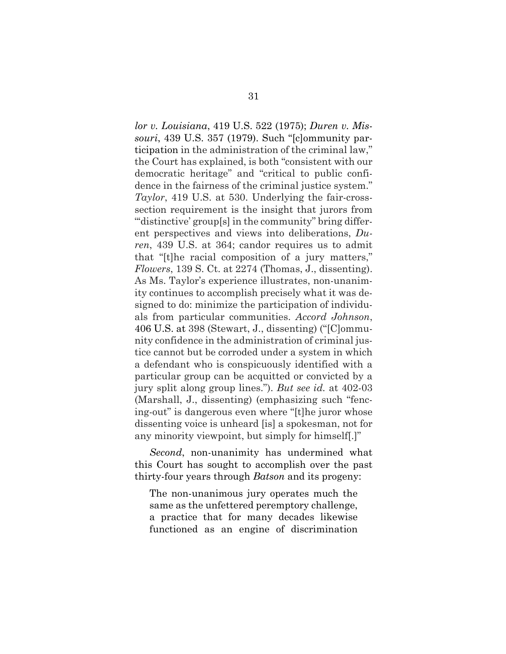*lor v. Louisiana*, 419 U.S. 522 (1975); *Duren v. Missouri*, 439 U.S. 357 (1979). Such "[c]ommunity participation in the administration of the criminal law," the Court has explained, is both "consistent with our democratic heritage" and "critical to public confidence in the fairness of the criminal justice system." *Taylor*, 419 U.S. at 530. Underlying the fair-crosssection requirement is the insight that jurors from "distinctive' group[s] in the community" bring different perspectives and views into deliberations, *Duren*, 439 U.S. at 364; candor requires us to admit that "[t]he racial composition of a jury matters," *Flowers*, 139 S. Ct. at 2274 (Thomas, J., dissenting). As Ms. Taylor's experience illustrates, non-unanimity continues to accomplish precisely what it was designed to do: minimize the participation of individuals from particular communities. *Accord Johnson*, 406 U.S. at 398 (Stewart, J., dissenting) ("[C]ommunity confidence in the administration of criminal justice cannot but be corroded under a system in which a defendant who is conspicuously identified with a particular group can be acquitted or convicted by a jury split along group lines."). *But see id.* at 402-03 (Marshall, J., dissenting) (emphasizing such "fencing-out" is dangerous even where "[t]he juror whose dissenting voice is unheard [is] a spokesman, not for any minority viewpoint, but simply for himself[.]"

*Second*, non-unanimity has undermined what this Court has sought to accomplish over the past thirty-four years through *Batson* and its progeny:

The non-unanimous jury operates much the same as the unfettered peremptory challenge, a practice that for many decades likewise functioned as an engine of discrimination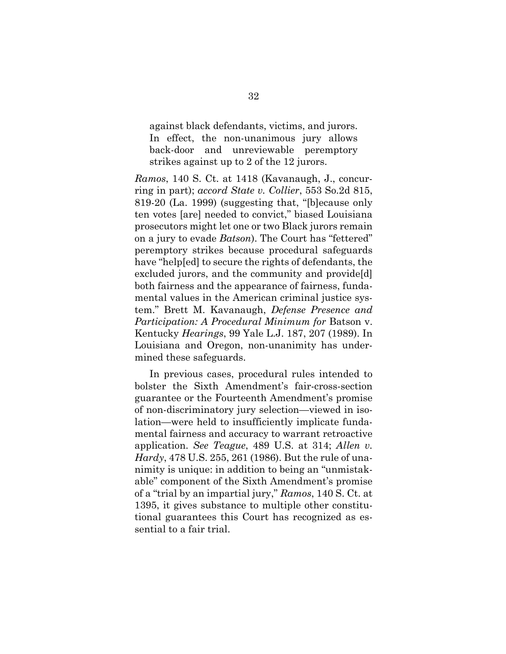against black defendants, victims, and jurors. In effect, the non-unanimous jury allows back-door and unreviewable peremptory strikes against up to 2 of the 12 jurors.

*Ramos*, 140 S. Ct. at 1418 (Kavanaugh, J., concurring in part); *accord State v. Collier*, 553 So.2d 815, 819-20 (La. 1999) (suggesting that, "[b]ecause only ten votes [are] needed to convict," biased Louisiana prosecutors might let one or two Black jurors remain on a jury to evade *Batson*). The Court has "fettered" peremptory strikes because procedural safeguards have "help[ed] to secure the rights of defendants, the excluded jurors, and the community and provide[d] both fairness and the appearance of fairness, fundamental values in the American criminal justice system." Brett M. Kavanaugh, *Defense Presence and Participation: A Procedural Minimum for* Batson v. Kentucky *Hearings*, 99 Yale L.J. 187, 207 (1989). In Louisiana and Oregon, non-unanimity has undermined these safeguards.

In previous cases, procedural rules intended to bolster the Sixth Amendment's fair-cross-section guarantee or the Fourteenth Amendment's promise of non-discriminatory jury selection—viewed in isolation—were held to insufficiently implicate fundamental fairness and accuracy to warrant retroactive application. *See Teague*, 489 U.S. at 314; *Allen v. Hardy*, 478 U.S. 255, 261 (1986). But the rule of unanimity is unique: in addition to being an "unmistakable" component of the Sixth Amendment's promise of a "trial by an impartial jury," *Ramos*, 140 S. Ct. at 1395, it gives substance to multiple other constitutional guarantees this Court has recognized as essential to a fair trial.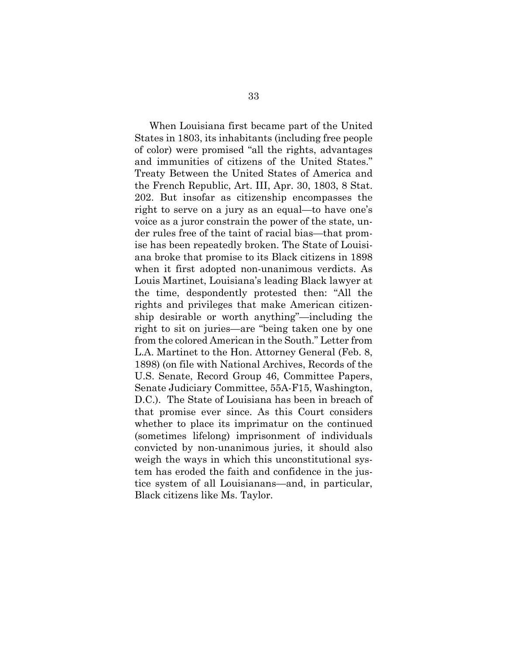When Louisiana first became part of the United States in 1803, its inhabitants (including free people of color) were promised "all the rights, advantages and immunities of citizens of the United States." Treaty Between the United States of America and the French Republic, Art. III, Apr. 30, 1803, 8 Stat. 202. But insofar as citizenship encompasses the right to serve on a jury as an equal—to have one's voice as a juror constrain the power of the state, under rules free of the taint of racial bias—that promise has been repeatedly broken. The State of Louisiana broke that promise to its Black citizens in 1898 when it first adopted non-unanimous verdicts. As Louis Martinet, Louisiana's leading Black lawyer at the time, despondently protested then: "All the rights and privileges that make American citizenship desirable or worth anything"—including the right to sit on juries—are "being taken one by one from the colored American in the South." Letter from L.A. Martinet to the Hon. Attorney General (Feb. 8, 1898) (on file with National Archives, Records of the U.S. Senate, Record Group 46, Committee Papers, Senate Judiciary Committee, 55A-F15, Washington, D.C.). The State of Louisiana has been in breach of that promise ever since. As this Court considers whether to place its imprimatur on the continued (sometimes lifelong) imprisonment of individuals convicted by non-unanimous juries, it should also weigh the ways in which this unconstitutional system has eroded the faith and confidence in the justice system of all Louisianans—and, in particular, Black citizens like Ms. Taylor.